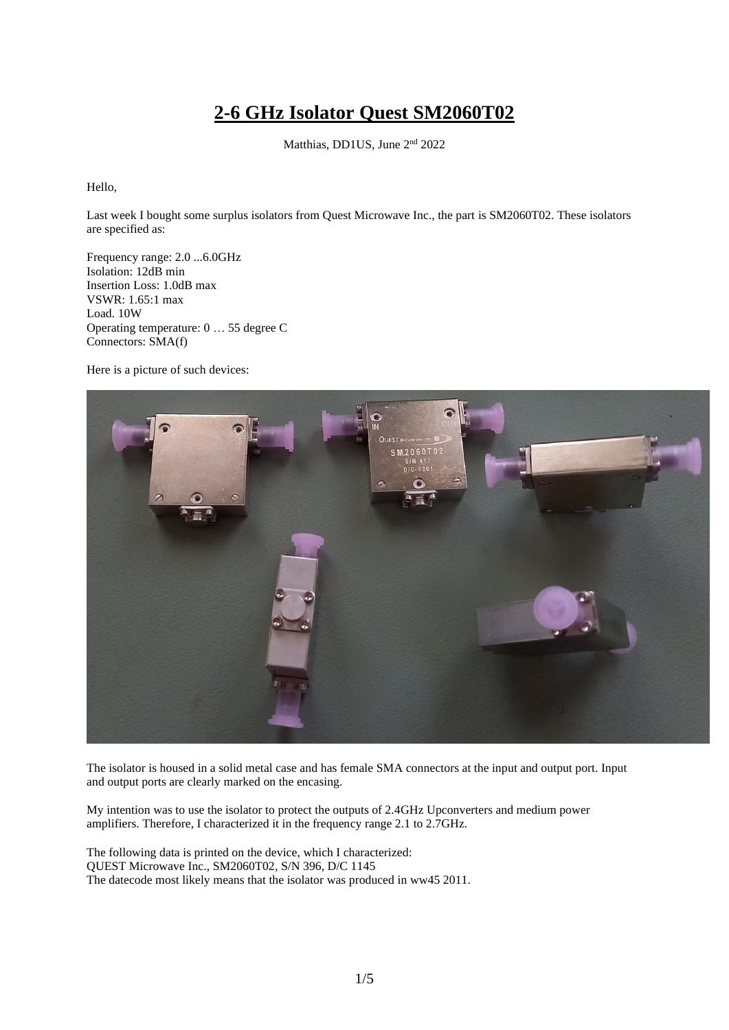## **2-6 GHz Isolator Quest SM2060T02**

Matthias, DD1US, June 2<sup>nd</sup> 2022

Hello,

Last week I bought some surplus isolators from Quest Microwave Inc., the part is SM2060T02. These isolators are specified as:

Frequency range: 2.0 ...6.0GHz Isolation: 12dB min Insertion Loss: 1.0dB max VSWR: 1.65:1 max Load. 10W Operating temperature: 0 … 55 degree C Connectors: SMA(f)

Here is a picture of such devices:



The isolator is housed in a solid metal case and has female SMA connectors at the input and output port. Input and output ports are clearly marked on the encasing.

My intention was to use the isolator to protect the outputs of 2.4GHz Upconverters and medium power amplifiers. Therefore, I characterized it in the frequency range 2.1 to 2.7GHz.

The following data is printed on the device, which I characterized: QUEST Microwave Inc., SM2060T02, S/N 396, D/C 1145 The datecode most likely means that the isolator was produced in ww45 2011.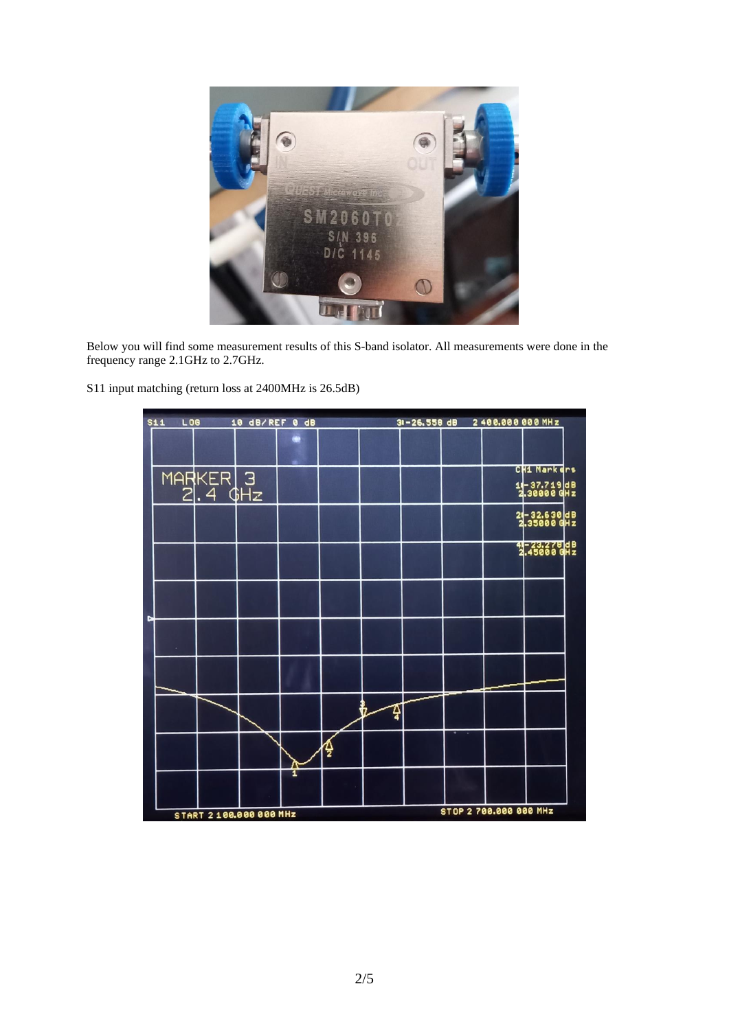

Below you will find some measurement results of this S-band isolator. All measurements were done in the frequency range 2.1GHz to 2.7GHz.

S11 input matching (return loss at 2400MHz is 26.5dB)

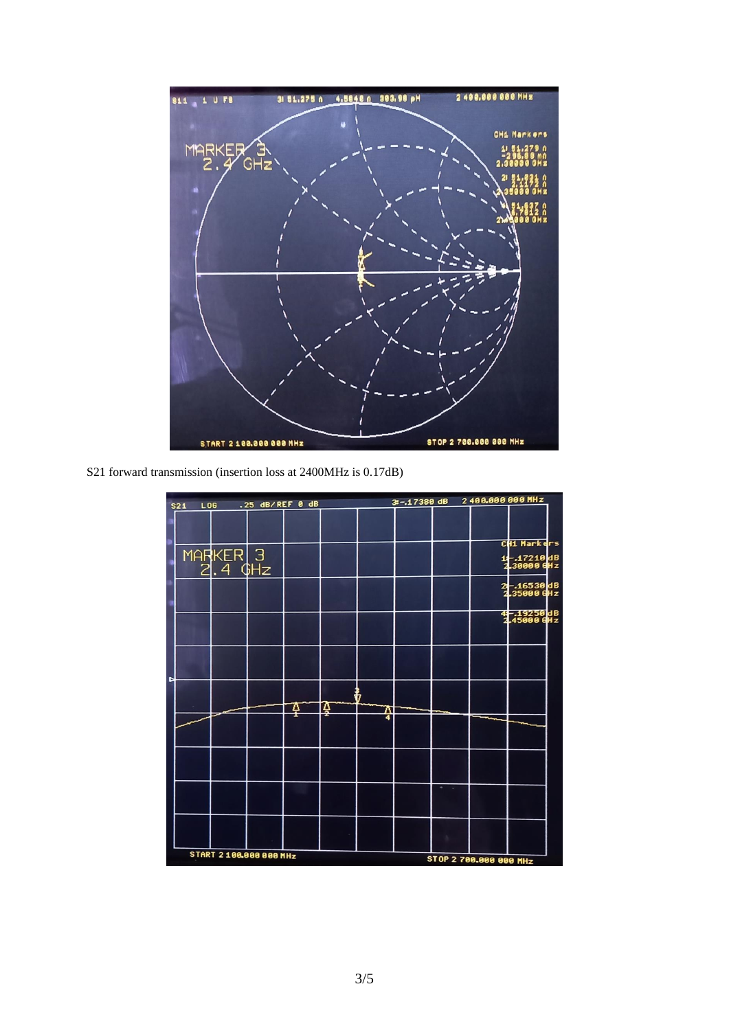

S21 forward transmission (insertion loss at 2400MHz is 0.17dB)

| S <sub>21</sub> | <b>LOG</b>          | .25 dB/REF 0 dB         |   |   |   | 3 -- 17380 dB | 2400.000 000 MHz       |                            |
|-----------------|---------------------|-------------------------|---|---|---|---------------|------------------------|----------------------------|
|                 |                     |                         |   |   |   |               |                        |                            |
|                 |                     |                         |   |   |   |               |                        | CH1 Markers                |
|                 | MARKER 3<br>2.4 GHz |                         |   |   |   |               |                        | 1-17210dB<br>2.30000 GHz   |
|                 |                     |                         |   |   |   |               |                        | 2 -- 16530 dB              |
|                 |                     |                         |   |   |   |               |                        | 4 - 19250 dB<br>245000 GHz |
| Þ               |                     |                         |   |   |   |               |                        |                            |
|                 |                     |                         | ₽ | Ă | W |               |                        |                            |
|                 |                     |                         |   |   | 4 |               |                        |                            |
|                 |                     |                         |   |   |   |               |                        |                            |
|                 |                     |                         |   |   |   |               |                        |                            |
|                 |                     |                         |   |   |   |               |                        |                            |
|                 |                     | START 2 100.000 000 MHz |   |   |   |               | STOP 2 700.000 000 MHz |                            |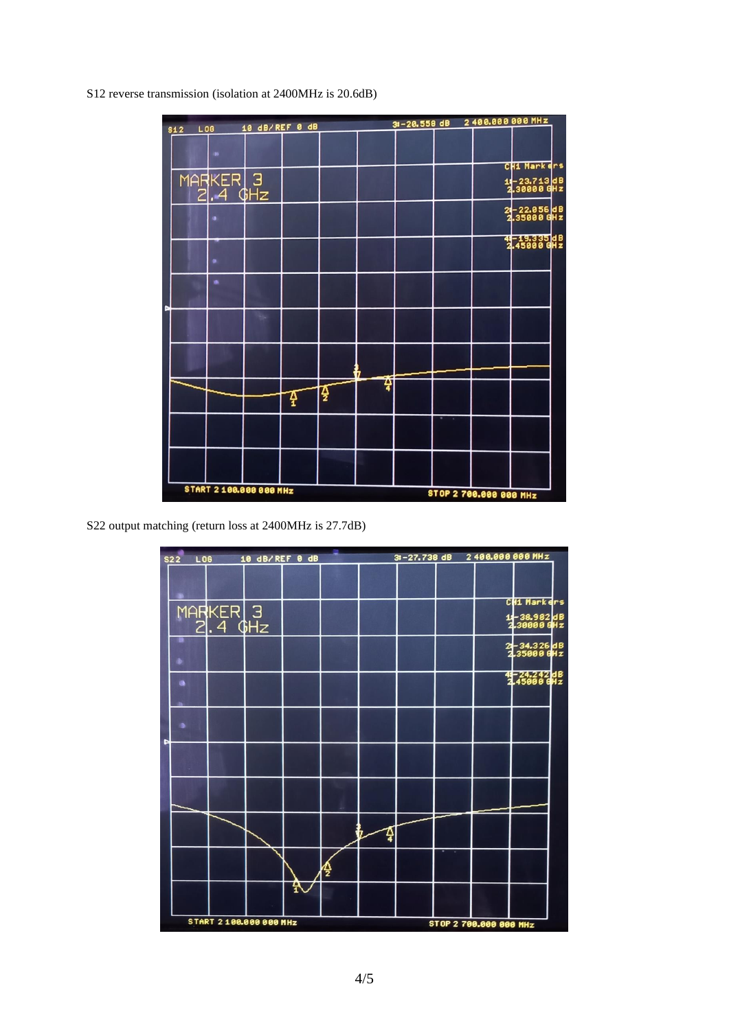S12 reverse transmission (isolation at 2400MHz is 20.6dB)



S22 output matching (return loss at 2400MHz is 27.7dB)